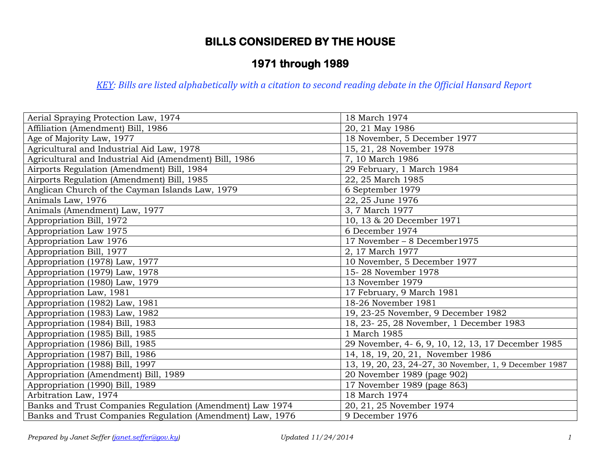# **1971 through 1989**

| Aerial Spraying Protection Law, 1974                       | 18 March 1974                                          |
|------------------------------------------------------------|--------------------------------------------------------|
| Affiliation (Amendment) Bill, 1986                         | 20, 21 May 1986                                        |
| Age of Majority Law, 1977                                  | 18 November, 5 December 1977                           |
| Agricultural and Industrial Aid Law, 1978                  | 15, 21, 28 November 1978                               |
| Agricultural and Industrial Aid (Amendment) Bill, 1986     | 7, 10 March 1986                                       |
| Airports Regulation (Amendment) Bill, 1984                 | 29 February, 1 March 1984                              |
| Airports Regulation (Amendment) Bill, 1985                 | 22, 25 March 1985                                      |
| Anglican Church of the Cayman Islands Law, 1979            | 6 September 1979                                       |
| Animals Law, 1976                                          | 22, 25 June 1976                                       |
| Animals (Amendment) Law, 1977                              | 3, 7 March 1977                                        |
| Appropriation Bill, 1972                                   | 10, 13 & 20 December 1971                              |
| Appropriation Law 1975                                     | 6 December 1974                                        |
| Appropriation Law 1976                                     | 17 November - 8 December1975                           |
| Appropriation Bill, 1977                                   | 2, 17 March 1977                                       |
| Appropriation (1978) Law, 1977                             | 10 November, 5 December 1977                           |
| Appropriation (1979) Law, 1978                             | 15-28 November 1978                                    |
| Appropriation (1980) Law, 1979                             | 13 November 1979                                       |
| Appropriation Law, 1981                                    | 17 February, 9 March 1981                              |
| Appropriation (1982) Law, 1981                             | 18-26 November 1981                                    |
| Appropriation (1983) Law, 1982                             | 19, 23-25 November, 9 December 1982                    |
| Appropriation (1984) Bill, 1983                            | 18, 23-25, 28 November, 1 December 1983                |
| Appropriation (1985) Bill, 1985                            | 1 March 1985                                           |
| Appropriation (1986) Bill, 1985                            | 29 November, 4-6, 9, 10, 12, 13, 17 December 1985      |
| Appropriation (1987) Bill, 1986                            | 14, 18, 19, 20, 21, November 1986                      |
| Appropriation (1988) Bill, 1997                            | 13, 19, 20, 23, 24-27, 30 November, 1, 9 December 1987 |
| Appropriation (Amendment) Bill, 1989                       | 20 November 1989 (page 902)                            |
| Appropriation (1990) Bill, 1989                            | 17 November 1989 (page 863)                            |
| Arbitration Law, 1974                                      | 18 March 1974                                          |
| Banks and Trust Companies Regulation (Amendment) Law 1974  | 20, 21, 25 November 1974                               |
| Banks and Trust Companies Regulation (Amendment) Law, 1976 | 9 December 1976                                        |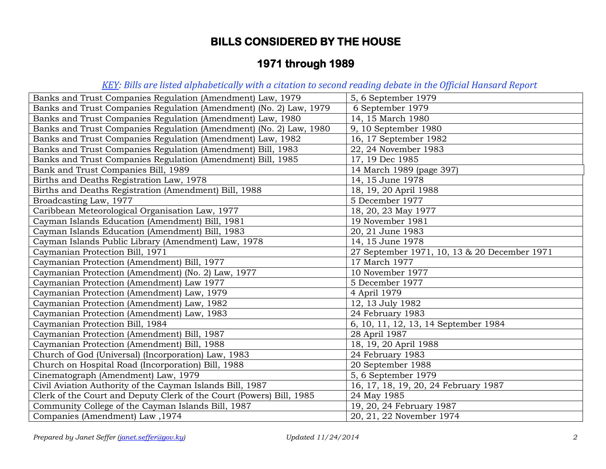# **1971 through 1989**

| Banks and Trust Companies Regulation (Amendment) Law, 1979           | 5, 6 September 1979                          |
|----------------------------------------------------------------------|----------------------------------------------|
| Banks and Trust Companies Regulation (Amendment) (No. 2) Law, 1979   | 6 September 1979                             |
| Banks and Trust Companies Regulation (Amendment) Law, 1980           | 14, 15 March 1980                            |
| Banks and Trust Companies Regulation (Amendment) (No. 2) Law, 1980   | 9, 10 September 1980                         |
| Banks and Trust Companies Regulation (Amendment) Law, 1982           | 16, 17 September 1982                        |
| Banks and Trust Companies Regulation (Amendment) Bill, 1983          | 22, 24 November 1983                         |
| Banks and Trust Companies Regulation (Amendment) Bill, 1985          | 17, 19 Dec 1985                              |
| Bank and Trust Companies Bill, 1989                                  | 14 March 1989 (page 397)                     |
| Births and Deaths Registration Law, 1978                             | 14, 15 June 1978                             |
| Births and Deaths Registration (Amendment) Bill, 1988                | 18, 19, 20 April 1988                        |
| Broadcasting Law, 1977                                               | 5 December 1977                              |
| Caribbean Meteorological Organisation Law, 1977                      | 18, 20, 23 May 1977                          |
| Cayman Islands Education (Amendment) Bill, 1981                      | 19 November 1981                             |
| Cayman Islands Education (Amendment) Bill, 1983                      | 20, 21 June 1983                             |
| Cayman Islands Public Library (Amendment) Law, 1978                  | 14, 15 June 1978                             |
| Caymanian Protection Bill, 1971                                      | 27 September 1971, 10, 13 & 20 December 1971 |
| Caymanian Protection (Amendment) Bill, 1977                          | 17 March 1977                                |
| Caymanian Protection (Amendment) (No. 2) Law, 1977                   | 10 November 1977                             |
| Caymanian Protection (Amendment) Law 1977                            | 5 December 1977                              |
| Caymanian Protection (Amendment) Law, 1979                           | 4 April 1979                                 |
| Caymanian Protection (Amendment) Law, 1982                           | 12, 13 July 1982                             |
| Caymanian Protection (Amendment) Law, 1983                           | 24 February 1983                             |
| Caymanian Protection Bill, 1984                                      | 6, 10, 11, 12, 13, 14 September 1984         |
| Caymanian Protection (Amendment) Bill, 1987                          | 28 April 1987                                |
| Caymanian Protection (Amendment) Bill, 1988                          | 18, 19, 20 April 1988                        |
| Church of God (Universal) (Incorporation) Law, 1983                  | 24 February 1983                             |
| Church on Hospital Road (Incorporation) Bill, 1988                   | 20 September 1988                            |
| Cinematograph (Amendment) Law, 1979                                  | 5, 6 September 1979                          |
| Civil Aviation Authority of the Cayman Islands Bill, 1987            | 16, 17, 18, 19, 20, 24 February 1987         |
| Clerk of the Court and Deputy Clerk of the Court (Powers) Bill, 1985 | 24 May 1985                                  |
| Community College of the Cayman Islands Bill, 1987                   | 19, 20, 24 February 1987                     |
| Companies (Amendment) Law, 1974                                      | 20, 21, 22 November 1974                     |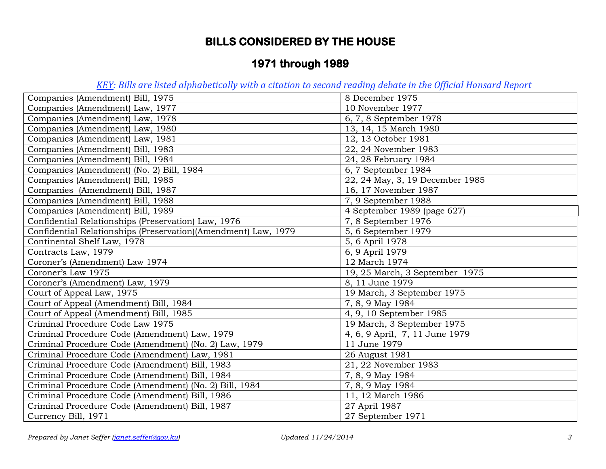# **1971 through 1989**

| Companies (Amendment) Bill, 1975                               | 8 December 1975                 |
|----------------------------------------------------------------|---------------------------------|
| Companies (Amendment) Law, 1977                                | 10 November 1977                |
| Companies (Amendment) Law, 1978                                | 6, 7, 8 September 1978          |
| Companies (Amendment) Law, 1980                                | 13, 14, 15 March 1980           |
| Companies (Amendment) Law, 1981                                | 12, 13 October 1981             |
| Companies (Amendment) Bill, 1983                               | 22, 24 November 1983            |
| Companies (Amendment) Bill, 1984                               | 24, 28 February 1984            |
| Companies (Amendment) (No. 2) Bill, 1984                       | 6, 7 September 1984             |
| Companies (Amendment) Bill, 1985                               | 22, 24 May, 3, 19 December 1985 |
| Companies (Amendment) Bill, 1987                               | 16, 17 November 1987            |
| Companies (Amendment) Bill, 1988                               | 7, 9 September 1988             |
| Companies (Amendment) Bill, 1989                               | 4 September 1989 (page 627)     |
| Confidential Relationships (Preservation) Law, 1976            | 7, 8 September 1976             |
| Confidential Relationships (Preservation)(Amendment) Law, 1979 | 5, 6 September 1979             |
| Continental Shelf Law, 1978                                    | 5, 6 April 1978                 |
| Contracts Law, 1979                                            | 6, 9 April 1979                 |
| Coroner's (Amendment) Law 1974                                 | 12 March 1974                   |
| Coroner's Law 1975                                             | 19, 25 March, 3 September 1975  |
| Coroner's (Amendment) Law, 1979                                | 8, 11 June 1979                 |
| Court of Appeal Law, 1975                                      | 19 March, 3 September 1975      |
| Court of Appeal (Amendment) Bill, 1984                         | 7, 8, 9 May 1984                |
| Court of Appeal (Amendment) Bill, 1985                         | 4, 9, 10 September 1985         |
| Criminal Procedure Code Law 1975                               | 19 March, 3 September 1975      |
| Criminal Procedure Code (Amendment) Law, 1979                  | 4, 6, 9 April, 7, 11 June 1979  |
| Criminal Procedure Code (Amendment) (No. 2) Law, 1979          | 11 June 1979                    |
| Criminal Procedure Code (Amendment) Law, 1981                  | 26 August 1981                  |
| Criminal Procedure Code (Amendment) Bill, 1983                 | 21, 22 November 1983            |
| Criminal Procedure Code (Amendment) Bill, 1984                 | 7, 8, 9 May 1984                |
| Criminal Procedure Code (Amendment) (No. 2) Bill, 1984         | 7, 8, 9 May 1984                |
| Criminal Procedure Code (Amendment) Bill, 1986                 | 11, 12 March 1986               |
| Criminal Procedure Code (Amendment) Bill, 1987                 | 27 April 1987                   |
| Currency Bill, 1971                                            | 27 September 1971               |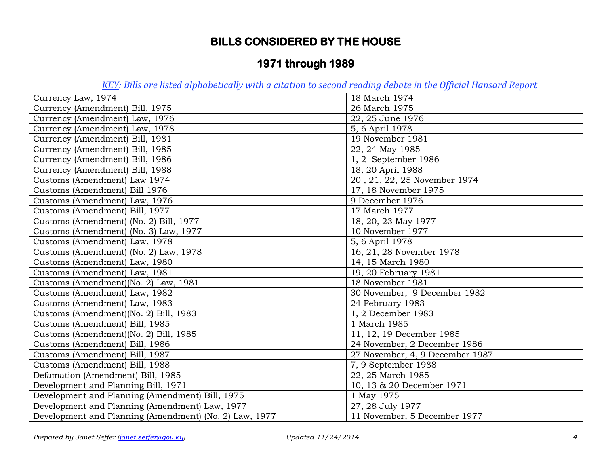# **1971 through 1989**

| Currency Law, 1974                                     | 18 March 1974                   |
|--------------------------------------------------------|---------------------------------|
| Currency (Amendment) Bill, 1975                        | 26 March 1975                   |
| Currency (Amendment) Law, 1976                         | 22, 25 June 1976                |
| Currency (Amendment) Law, 1978                         | 5, 6 April 1978                 |
| Currency (Amendment) Bill, 1981                        | 19 November 1981                |
| Currency (Amendment) Bill, 1985                        | 22, 24 May 1985                 |
| Currency (Amendment) Bill, 1986                        | 1, 2 September 1986             |
| Currency (Amendment) Bill, 1988                        | 18, 20 April 1988               |
| Customs (Amendment) Law 1974                           | 20, 21, 22, 25 November 1974    |
| Customs (Amendment) Bill 1976                          | 17, 18 November 1975            |
| Customs (Amendment) Law, 1976                          | 9 December 1976                 |
| Customs (Amendment) Bill, 1977                         | 17 March 1977                   |
| Customs (Amendment) (No. 2) Bill, 1977                 | 18, 20, 23 May 1977             |
| Customs (Amendment) (No. 3) Law, 1977                  | 10 November 1977                |
| Customs (Amendment) Law, 1978                          | 5, 6 April 1978                 |
| Customs (Amendment) (No. 2) Law, 1978                  | 16, 21, 28 November 1978        |
| Customs (Amendment) Law, 1980                          | 14, 15 March 1980               |
| Customs (Amendment) Law, 1981                          | 19, 20 February 1981            |
| Customs (Amendment)(No. 2) Law, 1981                   | 18 November 1981                |
| Customs (Amendment) Law, 1982                          | 30 November, 9 December 1982    |
| Customs (Amendment) Law, 1983                          | 24 February 1983                |
| Customs (Amendment)(No. 2) Bill, 1983                  | 1, 2 December 1983              |
| Customs (Amendment) Bill, 1985                         | 1 March 1985                    |
| Customs (Amendment)(No. 2) Bill, 1985                  | 11, 12, 19 December 1985        |
| Customs (Amendment) Bill, 1986                         | 24 November, 2 December 1986    |
| Customs (Amendment) Bill, 1987                         | 27 November, 4, 9 December 1987 |
| Customs (Amendment) Bill, 1988                         | 7, 9 September 1988             |
| Defamation (Amendment) Bill, 1985                      | 22, 25 March 1985               |
| Development and Planning Bill, 1971                    | 10, 13 & 20 December 1971       |
| Development and Planning (Amendment) Bill, 1975        | 1 May 1975                      |
| Development and Planning (Amendment) Law, 1977         | 27, 28 July 1977                |
| Development and Planning (Amendment) (No. 2) Law, 1977 | 11 November, 5 December 1977    |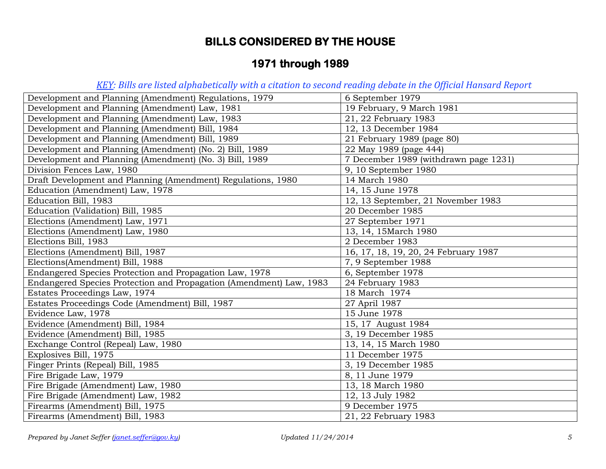# **1971 through 1989**

| Development and Planning (Amendment) Regulations, 1979              | 6 September 1979                      |
|---------------------------------------------------------------------|---------------------------------------|
| Development and Planning (Amendment) Law, 1981                      | 19 February, 9 March 1981             |
| Development and Planning (Amendment) Law, 1983                      | 21, 22 February 1983                  |
| Development and Planning (Amendment) Bill, 1984                     | 12, 13 December 1984                  |
| Development and Planning (Amendment) Bill, 1989                     | 21 February 1989 (page 80)            |
| Development and Planning (Amendment) (No. 2) Bill, 1989             | 22 May 1989 (page 444)                |
| Development and Planning (Amendment) (No. 3) Bill, 1989             | 7 December 1989 (withdrawn page 1231) |
| Division Fences Law, 1980                                           | 9, 10 September 1980                  |
| Draft Development and Planning (Amendment) Regulations, 1980        | 14 March 1980                         |
| Education (Amendment) Law, 1978                                     | 14, 15 June 1978                      |
| Education Bill, 1983                                                | 12, 13 September, 21 November 1983    |
| Education (Validation) Bill, 1985                                   | 20 December 1985                      |
| Elections (Amendment) Law, 1971                                     | 27 September 1971                     |
| Elections (Amendment) Law, 1980                                     | 13, 14, 15March 1980                  |
| Elections Bill, 1983                                                | 2 December 1983                       |
| Elections (Amendment) Bill, 1987                                    | 16, 17, 18, 19, 20, 24 February 1987  |
| Elections(Amendment) Bill, 1988                                     | 7, 9 September 1988                   |
| Endangered Species Protection and Propagation Law, 1978             | 6, September 1978                     |
| Endangered Species Protection and Propagation (Amendment) Law, 1983 | 24 February 1983                      |
| Estates Proceedings Law, 1974                                       | 18 March 1974                         |
| Estates Proceedings Code (Amendment) Bill, 1987                     | 27 April 1987                         |
| Evidence Law, 1978                                                  | 15 June 1978                          |
| Evidence (Amendment) Bill, 1984                                     | 15, 17 August 1984                    |
| Evidence (Amendment) Bill, 1985                                     | 3, 19 December 1985                   |
| Exchange Control (Repeal) Law, 1980                                 | 13, 14, 15 March 1980                 |
| Explosives Bill, 1975                                               | 11 December 1975                      |
| Finger Prints (Repeal) Bill, 1985                                   | 3, 19 December 1985                   |
| Fire Brigade Law, 1979                                              | 8, 11 June 1979                       |
| Fire Brigade (Amendment) Law, 1980                                  | 13, 18 March 1980                     |
| Fire Brigade (Amendment) Law, 1982                                  | 12, 13 July 1982                      |
| Firearms (Amendment) Bill, 1975                                     | 9 December 1975                       |
| Firearms (Amendment) Bill, 1983                                     | 21, 22 February 1983                  |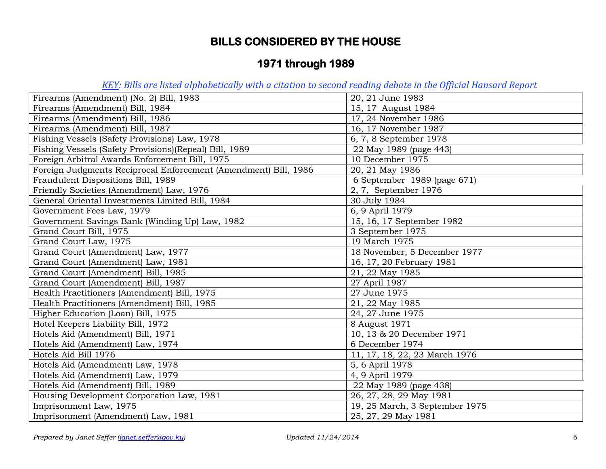# **1971 through 1989**

| Firearms (Amendment) (No. 2) Bill, 1983                         | 20, 21 June 1983               |
|-----------------------------------------------------------------|--------------------------------|
| Firearms (Amendment) Bill, 1984                                 | 15, 17 August 1984             |
| Firearms (Amendment) Bill, 1986                                 | 17, 24 November 1986           |
| Firearms (Amendment) Bill, 1987                                 | 16, 17 November 1987           |
| Fishing Vessels (Safety Provisions) Law, 1978                   | 6, 7, 8 September 1978         |
| Fishing Vessels (Safety Provisions) (Repeal) Bill, 1989         | 22 May 1989 (page 443)         |
| Foreign Arbitral Awards Enforcement Bill, 1975                  | 10 December 1975               |
| Foreign Judgments Reciprocal Enforcement (Amendment) Bill, 1986 | 20, 21 May 1986                |
| Fraudulent Dispositions Bill, 1989                              | 6 September 1989 (page 671)    |
| Friendly Societies (Amendment) Law, 1976                        | 2, 7, September 1976           |
| General Oriental Investments Limited Bill, 1984                 | 30 July 1984                   |
| Government Fees Law, 1979                                       | 6, 9 April 1979                |
| Government Savings Bank (Winding Up) Law, 1982                  | 15, 16, 17 September 1982      |
| Grand Court Bill, 1975                                          | 3 September 1975               |
| Grand Court Law, 1975                                           | 19 March 1975                  |
| Grand Court (Amendment) Law, 1977                               | 18 November, 5 December 1977   |
| Grand Court (Amendment) Law, 1981                               | 16, 17, 20 February 1981       |
| Grand Court (Amendment) Bill, 1985                              | 21, 22 May 1985                |
| Grand Court (Amendment) Bill, 1987                              | 27 April 1987                  |
| Health Practitioners (Amendment) Bill, 1975                     | 27 June 1975                   |
| Health Practitioners (Amendment) Bill, 1985                     | 21, 22 May 1985                |
| Higher Education (Loan) Bill, 1975                              | 24, 27 June 1975               |
| Hotel Keepers Liability Bill, 1972                              | 8 August 1971                  |
| Hotels Aid (Amendment) Bill, 1971                               | 10, 13 & 20 December 1971      |
| Hotels Aid (Amendment) Law, 1974                                | 6 December 1974                |
| Hotels Aid Bill 1976                                            | 11, 17, 18, 22, 23 March 1976  |
| Hotels Aid (Amendment) Law, 1978                                | 5, 6 April 1978                |
| Hotels Aid (Amendment) Law, 1979                                | 4, 9 April 1979                |
| Hotels Aid (Amendment) Bill, 1989                               | 22 May 1989 (page 438)         |
| Housing Development Corporation Law, 1981                       | 26, 27, 28, 29 May 1981        |
| Imprisonment Law, 1975                                          | 19, 25 March, 3 September 1975 |
| Imprisonment (Amendment) Law, 1981                              | 25, 27, 29 May 1981            |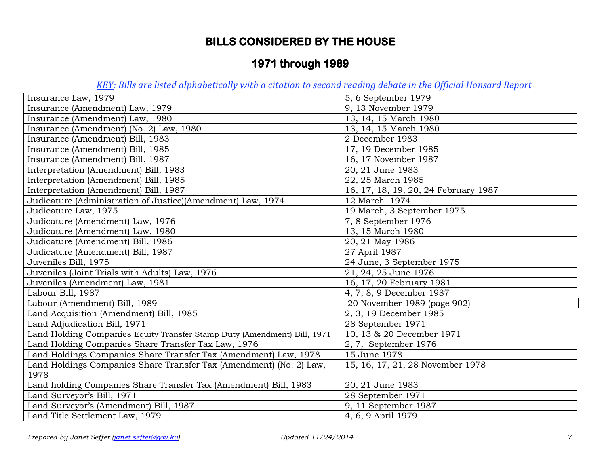# **1971 through 1989**

| Insurance Law, 1979                                                      | 5, 6 September 1979                  |
|--------------------------------------------------------------------------|--------------------------------------|
| Insurance (Amendment) Law, 1979                                          | 9, 13 November 1979                  |
| Insurance (Amendment) Law, 1980                                          | 13, 14, 15 March 1980                |
| Insurance (Amendment) (No. 2) Law, 1980                                  | 13, 14, 15 March 1980                |
| Insurance (Amendment) Bill, 1983                                         | 2 December 1983                      |
| Insurance (Amendment) Bill, 1985                                         | 17, 19 December 1985                 |
| Insurance (Amendment) Bill, 1987                                         | 16, 17 November 1987                 |
| Interpretation (Amendment) Bill, 1983                                    | 20, 21 June 1983                     |
| Interpretation (Amendment) Bill, 1985                                    | 22, 25 March 1985                    |
| Interpretation (Amendment) Bill, 1987                                    | 16, 17, 18, 19, 20, 24 February 1987 |
| Judicature (Administration of Justice)(Amendment) Law, 1974              | 12 March 1974                        |
| Judicature Law, 1975                                                     | 19 March, 3 September 1975           |
| Judicature (Amendment) Law, 1976                                         | 7, 8 September 1976                  |
| Judicature (Amendment) Law, 1980                                         | 13, 15 March 1980                    |
| Judicature (Amendment) Bill, 1986                                        | 20, 21 May 1986                      |
| Judicature (Amendment) Bill, 1987                                        | 27 April 1987                        |
| Juveniles Bill, 1975                                                     | 24 June, 3 September 1975            |
| Juveniles (Joint Trials with Adults) Law, 1976                           | 21, 24, 25 June 1976                 |
| Juveniles (Amendment) Law, 1981                                          | 16, 17, 20 February 1981             |
| Labour Bill, 1987                                                        | 4, 7, 8, 9 December 1987             |
| Labour (Amendment) Bill, 1989                                            | 20 November 1989 (page 902)          |
| Land Acquisition (Amendment) Bill, 1985                                  | 2, 3, 19 December 1985               |
| Land Adjudication Bill, 1971                                             | 28 September 1971                    |
| Land Holding Companies Equity Transfer Stamp Duty (Amendment) Bill, 1971 | 10, 13 & 20 December 1971            |
| Land Holding Companies Share Transfer Tax Law, 1976                      | 2, 7, September 1976                 |
| Land Holdings Companies Share Transfer Tax (Amendment) Law, 1978         | 15 June 1978                         |
| Land Holdings Companies Share Transfer Tax (Amendment) (No. 2) Law,      | 15, 16, 17, 21, 28 November 1978     |
| 1978                                                                     |                                      |
| Land holding Companies Share Transfer Tax (Amendment) Bill, 1983         | 20, 21 June 1983                     |
| Land Surveyor's Bill, 1971                                               | 28 September 1971                    |
| Land Surveyor's (Amendment) Bill, 1987                                   | 9, 11 September 1987                 |
| Land Title Settlement Law, 1979                                          | 4, 6, 9 April 1979                   |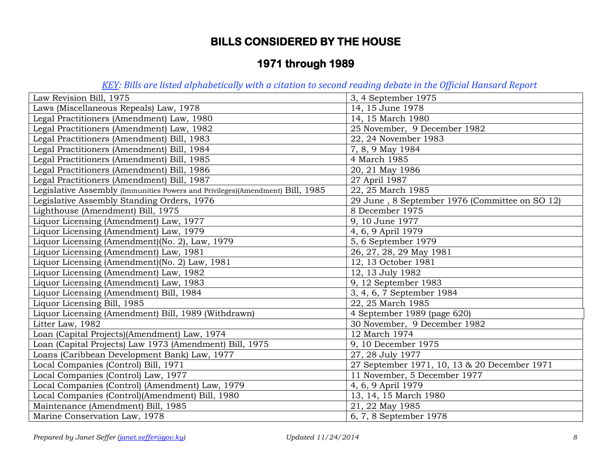# **1971 through 1989**

| Law Revision Bill, 1975                                                       | 3, 4 September 1975                            |
|-------------------------------------------------------------------------------|------------------------------------------------|
| Laws (Miscellaneous Repeals) Law, 1978                                        | 14, 15 June 1978                               |
| Legal Practitioners (Amendment) Law, 1980                                     | 14, 15 March 1980                              |
| Legal Practitioners (Amendment) Law, 1982                                     | 25 November, 9 December 1982                   |
| Legal Practitioners (Amendment) Bill, 1983                                    | 22, 24 November 1983                           |
| Legal Practitioners (Amendment) Bill, 1984                                    | 7, 8, 9 May 1984                               |
| Legal Practitioners (Amendment) Bill, 1985                                    | 4 March 1985                                   |
| Legal Practitioners (Amendment) Bill, 1986                                    | 20, 21 May 1986                                |
| Legal Practitioners (Amendment) Bill, 1987                                    | 27 April 1987                                  |
| Legislative Assembly (Immunities Powers and Privileges)(Amendment) Bill, 1985 | 22, 25 March 1985                              |
| Legislative Assembly Standing Orders, 1976                                    | 29 June, 8 September 1976 (Committee on SO 12) |
| Lighthouse (Amendment) Bill, 1975                                             | 8 December 1975                                |
| Liquor Licensing (Amendment) Law, 1977                                        | 9, 10 June 1977                                |
| Liquor Licensing (Amendment) Law, 1979                                        | 4, 6, 9 April 1979                             |
| Liquor Licensing (Amendment) (No. 2), Law, 1979                               | 5, 6 September 1979                            |
| Liquor Licensing (Amendment) Law, 1981                                        | 26, 27, 28, 29 May 1981                        |
| Liquor Licensing (Amendment)(No. 2) Law, 1981                                 | 12, 13 October 1981                            |
| Liquor Licensing (Amendment) Law, 1982                                        | 12, 13 July 1982                               |
| Liquor Licensing (Amendment) Law, 1983                                        | 9, 12 September 1983                           |
| Liquor Licensing (Amendment) Bill, 1984                                       | 3, 4, 6, 7 September 1984                      |
| Liquor Licensing Bill, 1985                                                   | 22, 25 March 1985                              |
| Liquor Licensing (Amendment) Bill, 1989 (Withdrawn)                           | 4 September 1989 (page 620)                    |
| Litter Law, 1982                                                              | 30 November, 9 December 1982                   |
| Loan (Capital Projects)(Amendment) Law, 1974                                  | 12 March 1974                                  |
| Loan (Capital Projects) Law 1973 (Amendment) Bill, 1975                       | 9, 10 December 1975                            |
| Loans (Caribbean Development Bank) Law, 1977                                  | 27, 28 July 1977                               |
| Local Companies (Control) Bill, 1971                                          | 27 September 1971, 10, 13 & 20 December 1971   |
| Local Companies (Control) Law, 1977                                           | 11 November, 5 December 1977                   |
| Local Companies (Control) (Amendment) Law, 1979                               | 4, 6, 9 April 1979                             |
| Local Companies (Control)(Amendment) Bill, 1980                               | 13, 14, 15 March 1980                          |
| Maintenance (Amendment) Bill, 1985                                            | 21, 22 May 1985                                |
| Marine Conservation Law, 1978                                                 | 6, 7, 8 September 1978                         |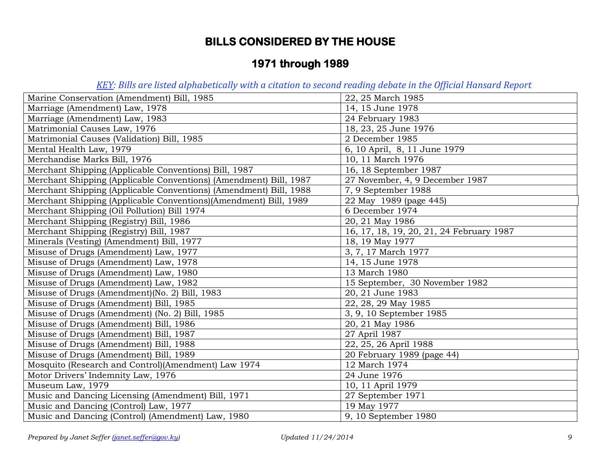# **1971 through 1989**

| Marine Conservation (Amendment) Bill, 1985                        | 22, 25 March 1985                        |
|-------------------------------------------------------------------|------------------------------------------|
| Marriage (Amendment) Law, 1978                                    | 14, 15 June 1978                         |
| Marriage (Amendment) Law, 1983                                    | 24 February 1983                         |
| Matrimonial Causes Law, 1976                                      | 18, 23, 25 June 1976                     |
| Matrimonial Causes (Validation) Bill, 1985                        | 2 December 1985                          |
| Mental Health Law, 1979                                           | 6, 10 April, 8, 11 June 1979             |
| Merchandise Marks Bill, 1976                                      | 10, 11 March 1976                        |
| Merchant Shipping (Applicable Conventions) Bill, 1987             | 16, 18 September 1987                    |
| Merchant Shipping (Applicable Conventions) (Amendment) Bill, 1987 | 27 November, 4, 9 December 1987          |
| Merchant Shipping (Applicable Conventions) (Amendment) Bill, 1988 | 7, 9 September 1988                      |
| Merchant Shipping (Applicable Conventions)(Amendment) Bill, 1989  | 22 May 1989 (page 445)                   |
| Merchant Shipping (Oil Pollution) Bill 1974                       | 6 December 1974                          |
| Merchant Shipping (Registry) Bill, 1986                           | 20, 21 May 1986                          |
| Merchant Shipping (Registry) Bill, 1987                           | 16, 17, 18, 19, 20, 21, 24 February 1987 |
| Minerals (Vesting) (Amendment) Bill, 1977                         | 18, 19 May 1977                          |
| Misuse of Drugs (Amendment) Law, 1977                             | 3, 7, 17 March 1977                      |
| Misuse of Drugs (Amendment) Law, 1978                             | 14, 15 June 1978                         |
| Misuse of Drugs (Amendment) Law, 1980                             | 13 March 1980                            |
| Misuse of Drugs (Amendment) Law, 1982                             | 15 September, 30 November 1982           |
| Misuse of Drugs (Amendment)(No. 2) Bill, 1983                     | 20, 21 June 1983                         |
| Misuse of Drugs (Amendment) Bill, 1985                            | 22, 28, 29 May 1985                      |
| Misuse of Drugs (Amendment) (No. 2) Bill, 1985                    | 3, 9, 10 September 1985                  |
| Misuse of Drugs (Amendment) Bill, 1986                            | 20, 21 May 1986                          |
| Misuse of Drugs (Amendment) Bill, 1987                            | 27 April 1987                            |
| Misuse of Drugs (Amendment) Bill, 1988                            | 22, 25, 26 April 1988                    |
| Misuse of Drugs (Amendment) Bill, 1989                            | 20 February 1989 (page 44)               |
| Mosquito (Research and Control)(Amendment) Law 1974               | 12 March 1974                            |
| Motor Drivers' Indemnity Law, 1976                                | 24 June 1976                             |
| Museum Law, 1979                                                  | 10, 11 April 1979                        |
| Music and Dancing Licensing (Amendment) Bill, 1971                | 27 September 1971                        |
| Music and Dancing (Control) Law, 1977                             | 19 May 1977                              |
| Music and Dancing (Control) (Amendment) Law, 1980                 | 9, 10 September 1980                     |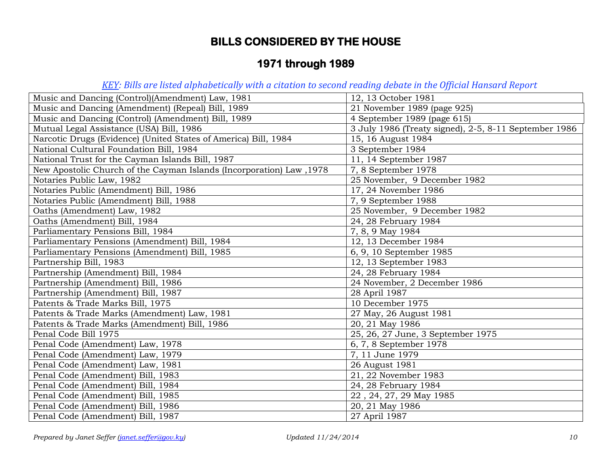# **1971 through 1989**

| Music and Dancing (Control)(Amendment) Law, 1981                     | 12, 13 October 1981                                   |
|----------------------------------------------------------------------|-------------------------------------------------------|
| Music and Dancing (Amendment) (Repeal) Bill, 1989                    | 21 November 1989 (page 925)                           |
| Music and Dancing (Control) (Amendment) Bill, 1989                   | 4 September 1989 (page 615)                           |
| Mutual Legal Assistance (USA) Bill, 1986                             | 3 July 1986 (Treaty signed), 2-5, 8-11 September 1986 |
| Narcotic Drugs (Evidence) (United States of America) Bill, 1984      | 15, 16 August 1984                                    |
| National Cultural Foundation Bill, 1984                              | 3 September 1984                                      |
| National Trust for the Cayman Islands Bill, 1987                     | 11, 14 September 1987                                 |
| New Apostolic Church of the Cayman Islands (Incorporation) Law, 1978 | 7, 8 September 1978                                   |
| Notaries Public Law, 1982                                            | 25 November, 9 December 1982                          |
| Notaries Public (Amendment) Bill, 1986                               | 17, 24 November 1986                                  |
| Notaries Public (Amendment) Bill, 1988                               | 7, 9 September 1988                                   |
| Oaths (Amendment) Law, 1982                                          | 25 November, 9 December 1982                          |
| Oaths (Amendment) Bill, 1984                                         | 24, 28 February 1984                                  |
| Parliamentary Pensions Bill, 1984                                    | 7, 8, 9 May 1984                                      |
| Parliamentary Pensions (Amendment) Bill, 1984                        | 12, 13 December 1984                                  |
| Parliamentary Pensions (Amendment) Bill, 1985                        | 6, 9, 10 September 1985                               |
| Partnership Bill, 1983                                               | 12, 13 September 1983                                 |
| Partnership (Amendment) Bill, 1984                                   | 24, 28 February 1984                                  |
| Partnership (Amendment) Bill, 1986                                   | 24 November, 2 December 1986                          |
| Partnership (Amendment) Bill, 1987                                   | 28 April 1987                                         |
| Patents & Trade Marks Bill, 1975                                     | 10 December 1975                                      |
| Patents & Trade Marks (Amendment) Law, 1981                          | 27 May, 26 August 1981                                |
| Patents & Trade Marks (Amendment) Bill, 1986                         | 20, 21 May 1986                                       |
| Penal Code Bill 1975                                                 | 25, 26, 27 June, 3 September 1975                     |
| Penal Code (Amendment) Law, 1978                                     | 6, 7, 8 September 1978                                |
| Penal Code (Amendment) Law, 1979                                     | 7, 11 June 1979                                       |
| Penal Code (Amendment) Law, 1981                                     | 26 August 1981                                        |
| Penal Code (Amendment) Bill, 1983                                    | 21, 22 November 1983                                  |
| Penal Code (Amendment) Bill, 1984                                    | 24, 28 February 1984                                  |
| Penal Code (Amendment) Bill, 1985                                    | 22, 24, 27, 29 May 1985                               |
| Penal Code (Amendment) Bill, 1986                                    | 20, 21 May 1986                                       |
| Penal Code (Amendment) Bill, 1987                                    | 27 April 1987                                         |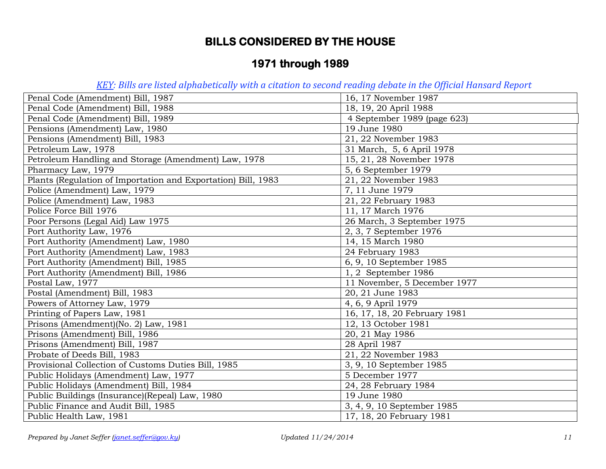# **1971 through 1989**

| Penal Code (Amendment) Bill, 1987                             | 16, 17 November 1987         |
|---------------------------------------------------------------|------------------------------|
| Penal Code (Amendment) Bill, 1988                             | 18, 19, 20 April 1988        |
| Penal Code (Amendment) Bill, 1989                             | 4 September 1989 (page 623)  |
| Pensions (Amendment) Law, 1980                                | 19 June 1980                 |
| Pensions (Amendment) Bill, 1983                               | 21, 22 November 1983         |
| Petroleum Law, 1978                                           | 31 March, 5, 6 April 1978    |
| Petroleum Handling and Storage (Amendment) Law, 1978          | 15, 21, 28 November 1978     |
| Pharmacy Law, 1979                                            | 5, 6 September 1979          |
| Plants (Regulation of Importation and Exportation) Bill, 1983 | 21, 22 November 1983         |
| Police (Amendment) Law, 1979                                  | 7, 11 June 1979              |
| Police (Amendment) Law, 1983                                  | 21, 22 February 1983         |
| Police Force Bill 1976                                        | 11, 17 March 1976            |
| Poor Persons (Legal Aid) Law 1975                             | 26 March, 3 September 1975   |
| Port Authority Law, 1976                                      | 2, 3, 7 September 1976       |
| Port Authority (Amendment) Law, 1980                          | 14, 15 March 1980            |
| Port Authority (Amendment) Law, 1983                          | 24 February 1983             |
| Port Authority (Amendment) Bill, 1985                         | 6, 9, 10 September 1985      |
| Port Authority (Amendment) Bill, 1986                         | 1, 2 September 1986          |
| Postal Law, 1977                                              | 11 November, 5 December 1977 |
| Postal (Amendment) Bill, 1983                                 | 20, 21 June 1983             |
| Powers of Attorney Law, 1979                                  | 4, 6, 9 April 1979           |
| Printing of Papers Law, 1981                                  | 16, 17, 18, 20 February 1981 |
| Prisons (Amendment)(No. 2) Law, 1981                          | 12, 13 October 1981          |
| Prisons (Amendment) Bill, 1986                                | 20, 21 May 1986              |
| Prisons (Amendment) Bill, 1987                                | 28 April 1987                |
| Probate of Deeds Bill, 1983                                   | 21, 22 November 1983         |
| Provisional Collection of Customs Duties Bill, 1985           | 3, 9, 10 September 1985      |
| Public Holidays (Amendment) Law, 1977                         | 5 December 1977              |
| Public Holidays (Amendment) Bill, 1984                        | 24, 28 February 1984         |
| Public Buildings (Insurance)(Repeal) Law, 1980                | 19 June 1980                 |
| Public Finance and Audit Bill, 1985                           | 3, 4, 9, 10 September 1985   |
| Public Health Law, 1981                                       | 17, 18, 20 February 1981     |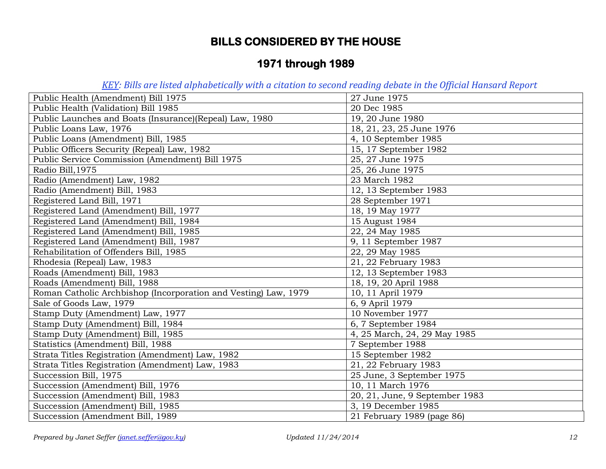# **1971 through 1989**

| Public Health (Amendment) Bill 1975                             | 27 June 1975                   |
|-----------------------------------------------------------------|--------------------------------|
| Public Health (Validation) Bill 1985                            | 20 Dec 1985                    |
| Public Launches and Boats (Insurance)(Repeal) Law, 1980         | 19, 20 June 1980               |
| Public Loans Law, 1976                                          | 18, 21, 23, 25 June 1976       |
| Public Loans (Amendment) Bill, 1985                             | 4, 10 September 1985           |
| Public Officers Security (Repeal) Law, 1982                     | 15, 17 September 1982          |
| Public Service Commission (Amendment) Bill 1975                 | 25, 27 June 1975               |
| Radio Bill, 1975                                                | 25, 26 June 1975               |
| Radio (Amendment) Law, 1982                                     | 23 March 1982                  |
| Radio (Amendment) Bill, 1983                                    | 12, 13 September 1983          |
| Registered Land Bill, 1971                                      | 28 September 1971              |
| Registered Land (Amendment) Bill, 1977                          | 18, 19 May 1977                |
| Registered Land (Amendment) Bill, 1984                          | 15 August 1984                 |
| Registered Land (Amendment) Bill, 1985                          | 22, 24 May 1985                |
| Registered Land (Amendment) Bill, 1987                          | 9, 11 September 1987           |
| Rehabilitation of Offenders Bill, 1985                          | 22, 29 May 1985                |
| Rhodesia (Repeal) Law, 1983                                     | 21, 22 February 1983           |
| Roads (Amendment) Bill, 1983                                    | 12, 13 September 1983          |
| Roads (Amendment) Bill, 1988                                    | 18, 19, 20 April 1988          |
| Roman Catholic Archbishop (Incorporation and Vesting) Law, 1979 | 10, 11 April 1979              |
| Sale of Goods Law, 1979                                         | 6, 9 April 1979                |
| Stamp Duty (Amendment) Law, 1977                                | 10 November 1977               |
| Stamp Duty (Amendment) Bill, 1984                               | 6, 7 September 1984            |
| Stamp Duty (Amendment) Bill, 1985                               | 4, 25 March, 24, 29 May 1985   |
| Statistics (Amendment) Bill, 1988                               | 7 September 1988               |
| Strata Titles Registration (Amendment) Law, 1982                | 15 September 1982              |
| Strata Titles Registration (Amendment) Law, 1983                | 21, 22 February 1983           |
| Succession Bill, 1975                                           | 25 June, 3 September 1975      |
| Succession (Amendment) Bill, 1976                               | 10, 11 March 1976              |
| Succession (Amendment) Bill, 1983                               | 20, 21, June, 9 September 1983 |
| Succession (Amendment) Bill, 1985                               | 3, 19 December 1985            |
| Succession (Amendment Bill, 1989                                | 21 February 1989 (page 86)     |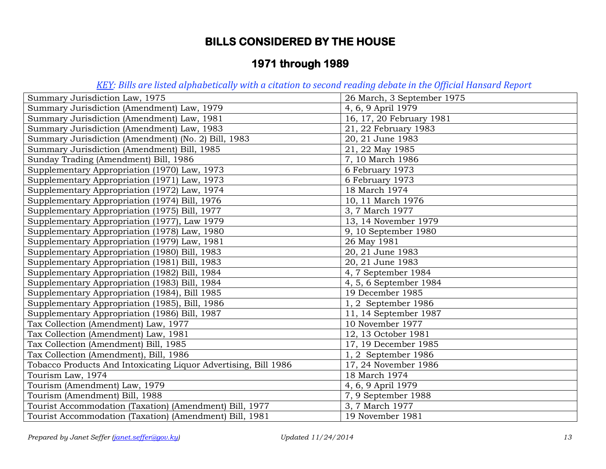# **1971 through 1989**

| Summary Jurisdiction Law, 1975                                  | 26 March, 3 September 1975 |
|-----------------------------------------------------------------|----------------------------|
| Summary Jurisdiction (Amendment) Law, 1979                      | 4, 6, 9 April 1979         |
| Summary Jurisdiction (Amendment) Law, 1981                      | 16, 17, 20 February 1981   |
| Summary Jurisdiction (Amendment) Law, 1983                      | 21, 22 February 1983       |
| Summary Jurisdiction (Amendment) (No. 2) Bill, 1983             | 20, 21 June 1983           |
| Summary Jurisdiction (Amendment) Bill, 1985                     | 21, 22 May 1985            |
| Sunday Trading (Amendment) Bill, 1986                           | 7, 10 March 1986           |
| Supplementary Appropriation (1970) Law, 1973                    | 6 February 1973            |
| Supplementary Appropriation (1971) Law, 1973                    | 6 February 1973            |
| Supplementary Appropriation (1972) Law, 1974                    | 18 March 1974              |
| Supplementary Appropriation (1974) Bill, 1976                   | 10, 11 March 1976          |
| Supplementary Appropriation (1975) Bill, 1977                   | 3, 7 March 1977            |
| Supplementary Appropriation (1977), Law 1979                    | 13, 14 November 1979       |
| Supplementary Appropriation (1978) Law, 1980                    | 9, 10 September 1980       |
| Supplementary Appropriation (1979) Law, 1981                    | 26 May 1981                |
| Supplementary Appropriation (1980) Bill, 1983                   | 20, 21 June 1983           |
| Supplementary Appropriation (1981) Bill, 1983                   | 20, 21 June 1983           |
| Supplementary Appropriation (1982) Bill, 1984                   | 4, 7 September 1984        |
| Supplementary Appropriation (1983) Bill, 1984                   | 4, 5, 6 September 1984     |
| Supplementary Appropriation (1984), Bill 1985                   | 19 December 1985           |
| Supplementary Appropriation (1985), Bill, 1986                  | 1, 2 September 1986        |
| Supplementary Appropriation (1986) Bill, 1987                   | 11, 14 September 1987      |
| Tax Collection (Amendment) Law, 1977                            | 10 November 1977           |
| Tax Collection (Amendment) Law, 1981                            | 12, 13 October 1981        |
| Tax Collection (Amendment) Bill, 1985                           | 17, 19 December 1985       |
| Tax Collection (Amendment), Bill, 1986                          | 1, 2 September 1986        |
| Tobacco Products And Intoxicating Liquor Advertising, Bill 1986 | 17, 24 November 1986       |
| Tourism Law, 1974                                               | 18 March 1974              |
| Tourism (Amendment) Law, 1979                                   | 4, 6, 9 April 1979         |
| Tourism (Amendment) Bill, 1988                                  | 7, 9 September 1988        |
| Tourist Accommodation (Taxation) (Amendment) Bill, 1977         | 3, 7 March 1977            |
| Tourist Accommodation (Taxation) (Amendment) Bill, 1981         | 19 November 1981           |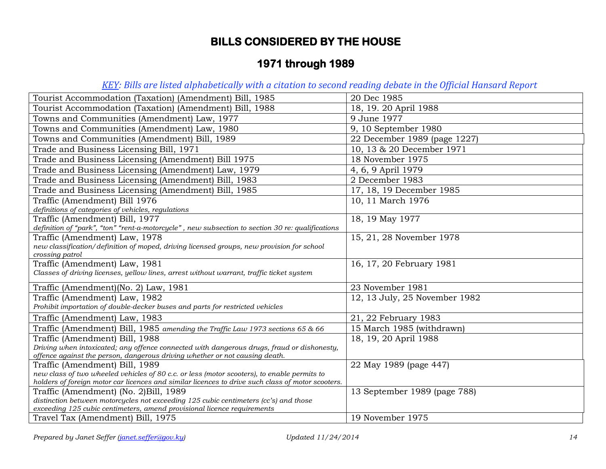# **1971 through 1989**

| Tourist Accommodation (Taxation) (Amendment) Bill, 1985                                           | 20 Dec 1985                   |
|---------------------------------------------------------------------------------------------------|-------------------------------|
| Tourist Accommodation (Taxation) (Amendment) Bill, 1988                                           | 18, 19. 20 April 1988         |
| Towns and Communities (Amendment) Law, 1977                                                       | 9 June 1977                   |
| Towns and Communities (Amendment) Law, 1980                                                       | 9, 10 September 1980          |
| Towns and Communities (Amendment) Bill, 1989                                                      | 22 December 1989 (page 1227)  |
| Trade and Business Licensing Bill, 1971                                                           | 10, 13 & 20 December 1971     |
| Trade and Business Licensing (Amendment) Bill 1975                                                | 18 November 1975              |
| Trade and Business Licensing (Amendment) Law, 1979                                                | 4, 6, 9 April 1979            |
| Trade and Business Licensing (Amendment) Bill, 1983                                               | 2 December 1983               |
| Trade and Business Licensing (Amendment) Bill, 1985                                               | 17, 18, 19 December 1985      |
| Traffic (Amendment) Bill 1976                                                                     | 10, 11 March 1976             |
| definitions of categories of vehicles, regulations                                                |                               |
| Traffic (Amendment) Bill, 1977                                                                    | 18, 19 May 1977               |
| definition of "park", "ton" "rent-a-motorcycle", new subsection to section 30 re: qualifications  |                               |
| Traffic (Amendment) Law, 1978                                                                     | 15, 21, 28 November 1978      |
| new classification/definition of moped, driving licensed groups, new provision for school         |                               |
| crossing patrol                                                                                   |                               |
| Traffic (Amendment) Law, 1981                                                                     | 16, 17, 20 February 1981      |
| Classes of driving licenses, yellow lines, arrest without warrant, traffic ticket system          |                               |
| Traffic (Amendment)(No. 2) Law, 1981                                                              | 23 November 1981              |
| Traffic (Amendment) Law, 1982                                                                     | 12, 13 July, 25 November 1982 |
| Prohibit importation of double-decker buses and parts for restricted vehicles                     |                               |
| Traffic (Amendment) Law, 1983                                                                     | 21, 22 February 1983          |
| Traffic (Amendment) Bill, 1985 amending the Traffic Law 1973 sections 65 & 66                     | 15 March 1985 (withdrawn)     |
| Traffic (Amendment) Bill, 1988                                                                    | 18, 19, 20 April 1988         |
| Driving when intoxicated; any offence connected with dangerous drugs, fraud or dishonesty,        |                               |
| offence against the person, dangerous driving whether or not causing death.                       |                               |
| Traffic (Amendment) Bill, 1989                                                                    | 22 May 1989 (page 447)        |
| new class of two wheeled vehicles of 80 c.c. or less (motor scooters), to enable permits to       |                               |
| holders of foreign motor car licences and similar licences to drive such class of motor scooters. |                               |
| Traffic (Amendment) (No. 2) Bill, 1989                                                            | 13 September 1989 (page 788)  |
| distinction between motorcycles not exceeding 125 cubic centimeters (cc's) and those              |                               |
| exceeding 125 cubic centimeters, amend provisional licence requirements                           |                               |
| Travel Tax (Amendment) Bill, 1975                                                                 | 19 November 1975              |